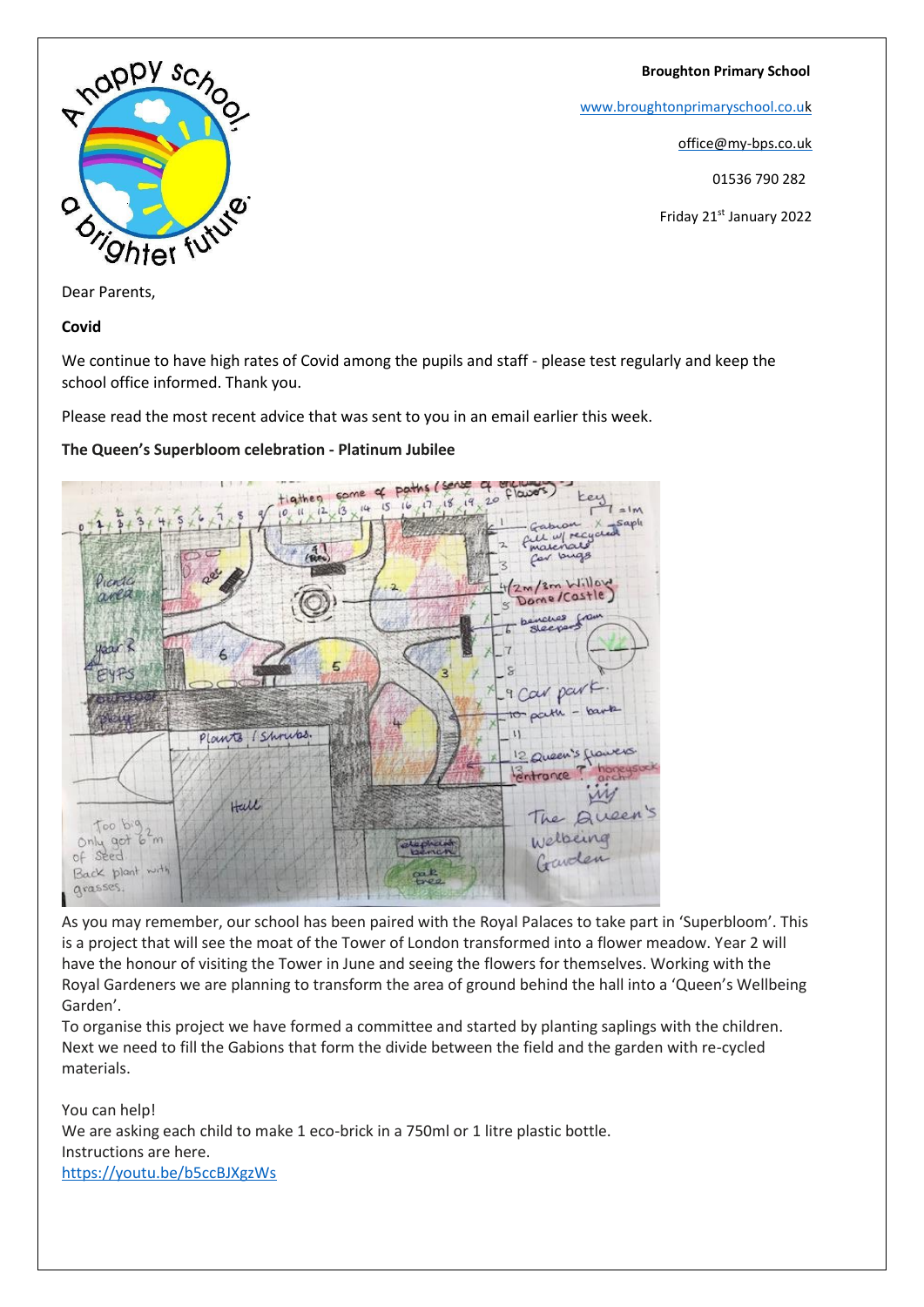#### **Broughton Primary School**

[www.broughtonprimaryschool.co.u](http://www.broughtonprimaryschool.co.u/)[k](http://www.broughtonprimaryschool.co.uk/)

office@my-bps.co.uk

01536 790 282

Friday 21st January 2022



Dear Parents,

**Covid**

We continue to have high rates of Covid among the pupils and staff - please test regularly and keep the school office informed. Thank you.

Please read the most recent advice that was sent to you in an email earlier this week.

# **The Queen's Superbloom celebration - Platinum Jubilee**



As you may remember, our school has been paired with the Royal Palaces to take part in 'Superbloom'. This is a project that will see the moat of the Tower of London transformed into a flower meadow. Year 2 will have the honour of visiting the Tower in June and seeing the flowers for themselves. Working with the Royal Gardeners we are planning to transform the area of ground behind the hall into a 'Queen's Wellbeing Garden'.

To organise this project we have formed a committee and started by planting saplings with the children. Next we need to fill the Gabions that form the divide between the field and the garden with re-cycled materials.

You can help! We are asking each child to make 1 eco-brick in a 750ml or 1 litre plastic bottle. Instructions are here. <https://youtu.be/b5ccBJXgzWs>